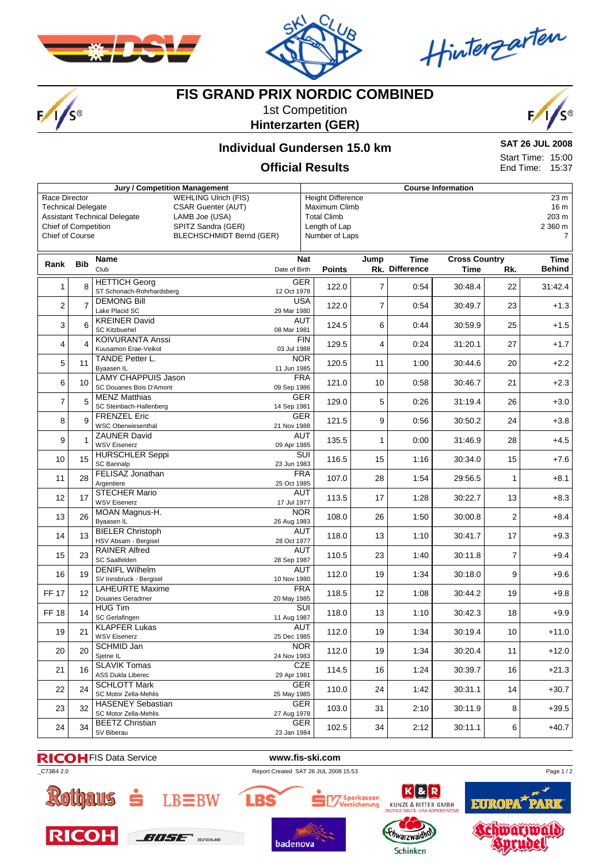

 $F/1/S^{\circ}$ 



Hinterzarten

## **FIS GRAND PRIX NORDIC COMBINED**

1st Competition **Hinterzarten (GER)**



#### **Individual Gundersen 15.0 km**

**SAT 26 JUL 2008** Start Time: 15:00 End Time: 15:37

### **Official Results**

|                                                        |                | <b>Jury / Competition Management</b>  |                                 | <b>Course Information</b> |                          |                |                |                      |                |                |  |
|--------------------------------------------------------|----------------|---------------------------------------|---------------------------------|---------------------------|--------------------------|----------------|----------------|----------------------|----------------|----------------|--|
| <b>WEHLING Ulrich (FIS)</b><br>Race Director           |                |                                       |                                 |                           | <b>Height Difference</b> |                |                |                      |                | 23 m           |  |
| <b>CSAR Guenter (AUT)</b><br><b>Technical Delegate</b> |                |                                       |                                 | Maximum Climb             |                          |                |                |                      | 16 m           |                |  |
| <b>Assistant Technical Delegate</b><br>LAMB Joe (USA)  |                |                                       |                                 |                           | <b>Total Climb</b>       |                |                |                      |                | 203 m          |  |
| <b>Chief of Competition</b><br>SPITZ Sandra (GER)      |                |                                       |                                 | Length of Lap             |                          |                |                |                      | 2 360 m        |                |  |
| <b>Chief of Course</b>                                 |                |                                       | <b>BLECHSCHMIDT Bernd (GER)</b> |                           | Number of Laps           |                |                |                      |                | $\overline{7}$ |  |
|                                                        |                |                                       |                                 |                           |                          |                |                |                      |                |                |  |
|                                                        |                | <b>Name</b>                           |                                 | <b>Nat</b>                |                          | Jump           | <b>Time</b>    | <b>Cross Country</b> |                | Time           |  |
| Rank                                                   | <b>Bib</b>     | Club                                  | Date of Birth                   |                           | <b>Points</b>            |                | Rk. Difference | Time                 | Rk.            | <b>Behind</b>  |  |
|                                                        |                | <b>HETTICH Georg</b>                  |                                 | <b>GER</b>                |                          |                |                |                      |                |                |  |
| 1                                                      | 8              | ST Schonach-Rohrhardsberg             |                                 | 12 Oct 1978               | 122.0                    | $\overline{7}$ | 0:54           | 30:48.4              | 22             | 31:42.4        |  |
|                                                        |                | <b>DEMONG Bill</b>                    |                                 | <b>USA</b>                |                          |                |                |                      |                |                |  |
| $\overline{2}$                                         | $\overline{7}$ | Lake Placid SC                        | 29 Mar 1980                     |                           | 122.0                    | $\overline{7}$ | 0:54           | 30:49.7              | 23             | $+1.3$         |  |
| 3                                                      | 6              | <b>KREINER David</b>                  |                                 | <b>AUT</b>                | 124.5                    | 6              | 0:44           | 30:59.9              | 25             | $+1.5$         |  |
|                                                        |                | <b>SC Kitzbuehel</b>                  | 08 Mar 1981                     |                           |                          |                |                |                      |                |                |  |
| 4                                                      | $\overline{4}$ | <b>KOIVURANTA Anssi</b>               |                                 | FIN                       | 129.5                    | 4              | 0:24           | 31:20.1              | 27             | $+1.7$         |  |
|                                                        |                | Kuusamon Erae-Veikot                  |                                 | 03 Jul 1988<br><b>NOR</b> |                          |                |                |                      |                |                |  |
| 5                                                      | 11             | TANDE Petter L.<br>Byaasen IL         |                                 | 11 Jun 1985               | 120.5                    | 11             | 1:00           | 30:44.6              | 20             | $+2.2$         |  |
|                                                        |                | <b>LAMY CHAPPUIS Jason</b>            |                                 | <b>FRA</b>                |                          |                |                |                      |                |                |  |
| 6                                                      | 10             | SC Douanes Bois D'Amont               |                                 | 09 Sep 1986               | 121.0                    | 10             | 0:58           | 30:46.7              | 21             | $+2.3$         |  |
|                                                        |                | <b>MENZ Matthias</b>                  |                                 | GER                       |                          |                |                |                      |                |                |  |
| $\overline{7}$                                         | 5              | SC Steinbach-Hallenberg               | 14 Sep 1981                     |                           | 129.0                    | 5              | 0:26           | 31:19.4              | 26             | $+3.0$         |  |
| 8                                                      | 9              | <b>FRENZEL Eric</b>                   |                                 | <b>GER</b>                | 121.5                    | 9              | 0:56           | 30:50.2              | 24             | $+3.8$         |  |
|                                                        |                | <b>WSC Oberwiesenthal</b>             |                                 | 21 Nov 1988               |                          |                |                |                      |                |                |  |
| 9                                                      |                | <b>ZAUNER David</b>                   |                                 | <b>AUT</b>                | 135.5                    | 1              | 0:00           | 31:46.9              | 28             | $+4.5$         |  |
|                                                        |                | <b>WSV Eisenerz</b>                   |                                 | 09 Apr 1985               |                          |                |                |                      |                |                |  |
| 10                                                     | 15             | <b>HURSCHLER Seppi</b>                |                                 | SUI<br>23 Jun 1983        | 116.5                    | 15             | 1:16           | 30:34.0              | 15             | +7.6           |  |
|                                                        |                | <b>SC Bannalp</b><br>FELISAZ Jonathan |                                 | <b>FRA</b>                |                          |                |                |                      |                |                |  |
| 11                                                     | 28             | Argentiere                            |                                 | 25 Oct 1985               | 107.0                    | 28             | 1:54           | 29:56.5              | $\mathbf{1}$   | $+8.1$         |  |
|                                                        |                | <b>STECHER Mario</b>                  |                                 | <b>AUT</b>                |                          |                |                |                      |                |                |  |
| 12                                                     | 17             | <b>WSV Eisenerz</b>                   |                                 | 17 Jul 1977               | 113.5                    | 17             | 1:28           | 30:22.7              | 13             | $+8.3$         |  |
| 13                                                     | 26             | MOAN Magnus-H.                        |                                 | <b>NOR</b>                | 108.0                    | 26             | 1:50           | 30:00.8              | $\overline{2}$ | $+8.4$         |  |
|                                                        |                | Byaasen IL                            | 26 Aug 1983                     |                           |                          |                |                |                      |                |                |  |
| 14                                                     | 13             | <b>BIELER Christoph</b>               |                                 | <b>AUT</b>                | 118.0                    | 13             | 1:10           | 30:41.7              | 17             | $+9.3$         |  |
|                                                        |                | HSV Absam - Bergisel                  |                                 | 28 Oct 1977               |                          |                |                |                      |                |                |  |
| 15                                                     | 23             | <b>RAINER Alfred</b><br>SC Saalfelden |                                 | <b>AUT</b>                | 110.5                    | 23             | 1:40           | 30:11.8              | $\overline{7}$ | $+9.4$         |  |
|                                                        |                | <b>DENIFL Wilhelm</b>                 | 28 Sep 1987                     | <b>AUT</b>                |                          |                |                |                      |                |                |  |
| 16                                                     | 19             | SV Innsbruck - Bergisel               |                                 | 10 Nov 1980               | 112.0                    | 19             | 1:34           | 30:18.0              | 9              | $+9.6$         |  |
|                                                        |                | <b>LAHEURTE Maxime</b>                |                                 | <b>FRA</b>                |                          |                |                |                      |                |                |  |
| <b>FF 17</b>                                           | 12             | Douanes Geradmer                      | 20 May 1985                     |                           | 118.5                    | 12             | 1:08           | 30:44.2              | 19             | $+9.8$         |  |
| <b>FF18</b>                                            | 14             | <b>HUG Tim</b>                        |                                 | SUI                       | 118.0                    | 13             | 1:10           | 30:42.3              | 18             | $+9.9$         |  |
|                                                        |                | SC Gerlafingen                        | 11 Aug 1987                     |                           |                          |                |                |                      |                |                |  |
| 19                                                     | 21             | <b>KLAPFER Lukas</b>                  |                                 | <b>AUT</b>                | 112.0                    | 19             | 1:34           | 30:19.4              | 10             | $+11.0$        |  |
|                                                        |                | <b>WSV Eisenerz</b>                   | 25 Dec 1985                     |                           |                          |                |                |                      |                |                |  |
| 20                                                     | 20             | <b>SCHMID Jan</b>                     |                                 | <b>NOR</b>                | 112.0                    | 19             | 1:34           | 30:20.4              | 11             | $+12.0$        |  |
|                                                        |                | Sjetne IL<br><b>SLAVIK Tomas</b>      |                                 | 24 Nov 1983               |                          |                |                |                      |                |                |  |
| 21                                                     | 16             | ASS Dukla Liberec                     |                                 | CZE<br>29 Apr 1981        | 114.5                    | 16             | 1:24           | 30:39.7              | 16             | $+21.3$        |  |
|                                                        |                | <b>SCHLOTT Mark</b>                   |                                 | <b>GER</b>                |                          |                |                |                      |                |                |  |
| 22                                                     | 24             | SC Motor Zella-Mehlis                 | 25 May 1985                     |                           | 110.0                    | 24             | 1:42           | 30:31.1              | 14             | $+30.7$        |  |
|                                                        |                | <b>HASENEY Sebastian</b>              |                                 | <b>GER</b>                |                          |                |                |                      |                |                |  |
| 23                                                     | 32             | SC Motor Zella-Mehlis                 |                                 | 27 Aug 1978               | 103.0                    | 31             | 2:10           | 30:11.9              | 8              | $+39.5$        |  |
| 24                                                     | 34             | <b>BEETZ Christian</b>                |                                 | <b>GER</b>                | 102.5                    | 34             | 2:12           | 30:11.1              | 6              | $+40.7$        |  |
|                                                        |                | SV Biberau                            |                                 | 23 Jan 1984               |                          |                |                |                      |                |                |  |

FIS Data Service **www.fis-ski.com**

badenova



**RICOH** 



\_C73B4 2.0 Report Created SAT 26 JUL 2008 15:53

**BOSE** SUITCOLOR





chwarzwald

**Schinken** 





Page 1/2